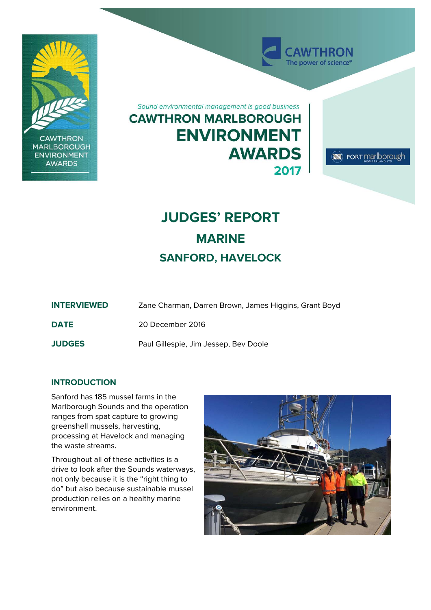

# **JUDGES' REPORT MARINE SANFORD, HAVELOCK**

| <b>INTERVIEWED</b> | Zane Charman, Darren Brown, James Higgins, Grant Boyd |
|--------------------|-------------------------------------------------------|
| <b>DATE</b>        | 20 December 2016                                      |
| <b>JUDGES</b>      | Paul Gillespie, Jim Jessep, Bev Doole                 |

## **INTRODUCTION**

Sanford has 185 mussel farms in the Marlborough Sounds and the operation ranges from spat capture to growing greenshell mussels, harvesting, processing at Havelock and managing the waste streams.

Throughout all of these activities is a drive to look after the Sounds waterways, not only because it is the "right thing to do" but also because sustainable mussel production relies on a healthy marine environment.

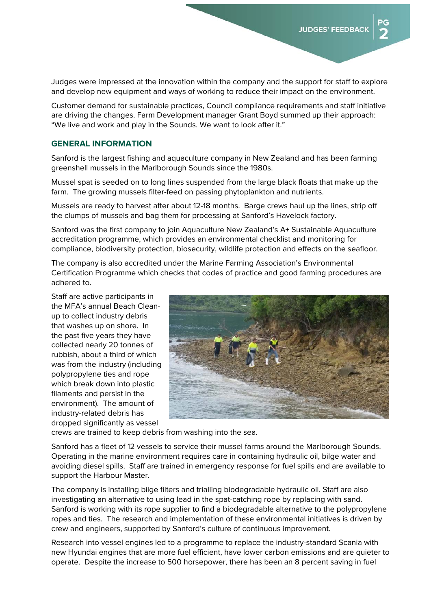Judges were impressed at the innovation within the company and the support for staff to explore and develop new equipment and ways of working to reduce their impact on the environment.

Customer demand for sustainable practices, Council compliance requirements and staff initiative are driving the changes. Farm Development manager Grant Boyd summed up their approach: "We live and work and play in the Sounds. We want to look after it."

### **GENERAL INFORMATION**

Sanford is the largest fishing and aquaculture company in New Zealand and has been farming greenshell mussels in the Marlborough Sounds since the 1980s.

Mussel spat is seeded on to long lines suspended from the large black floats that make up the farm. The growing mussels filter-feed on passing phytoplankton and nutrients.

Mussels are ready to harvest after about 12-18 months. Barge crews haul up the lines, strip off the clumps of mussels and bag them for processing at Sanford's Havelock factory.

Sanford was the first company to join Aquaculture New Zealand's A+ Sustainable Aquaculture accreditation programme, which provides an environmental checklist and monitoring for compliance, biodiversity protection, biosecurity, wildlife protection and effects on the seafloor.

The company is also accredited under the Marine Farming Association's Environmental Certification Programme which checks that codes of practice and good farming procedures are adhered to.

Staff are active participants in the MFA's annual Beach Cleanup to collect industry debris that washes up on shore. In the past five years they have collected nearly 20 tonnes of rubbish, about a third of which was from the industry (including polypropylene ties and rope which break down into plastic filaments and persist in the environment). The amount of industry-related debris has dropped significantly as vessel



crews are trained to keep debris from washing into the sea.

Sanford has a fleet of 12 vessels to service their mussel farms around the Marlborough Sounds. Operating in the marine environment requires care in containing hydraulic oil, bilge water and avoiding diesel spills. Staff are trained in emergency response for fuel spills and are available to support the Harbour Master.

The company is installing bilge filters and trialling biodegradable hydraulic oil. Staff are also investigating an alternative to using lead in the spat-catching rope by replacing with sand. Sanford is working with its rope supplier to find a biodegradable alternative to the polypropylene ropes and ties. The research and implementation of these environmental initiatives is driven by crew and engineers, supported by Sanford's culture of continuous improvement.

Research into vessel engines led to a programme to replace the industry-standard Scania with new Hyundai engines that are more fuel efficient, have lower carbon emissions and are quieter to operate. Despite the increase to 500 horsepower, there has been an 8 percent saving in fuel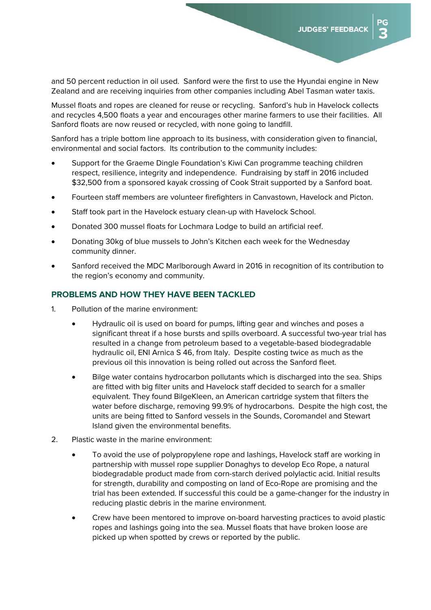and 50 percent reduction in oil used. Sanford were the first to use the Hyundai engine in New Zealand and are receiving inquiries from other companies including Abel Tasman water taxis.

Mussel floats and ropes are cleaned for reuse or recycling. Sanford's hub in Havelock collects and recycles 4,500 floats a year and encourages other marine farmers to use their facilities. All Sanford floats are now reused or recycled, with none going to landfill.

Sanford has a triple bottom line approach to its business, with consideration given to financial, environmental and social factors. Its contribution to the community includes:

- Support for the Graeme Dingle Foundation's Kiwi Can programme teaching children respect, resilience, integrity and independence. Fundraising by staff in 2016 included \$32,500 from a sponsored kayak crossing of Cook Strait supported by a Sanford boat.
- Fourteen staff members are volunteer firefighters in Canvastown, Havelock and Picton.
- Staff took part in the Havelock estuary clean-up with Havelock School.
- Donated 300 mussel floats for Lochmara Lodge to build an artificial reef.
- Donating 30kg of blue mussels to John's Kitchen each week for the Wednesday community dinner.
- Sanford received the MDC Marlborough Award in 2016 in recognition of its contribution to the region's economy and community.

## **PROBLEMS AND HOW THEY HAVE BEEN TACKLED**

- 1. Pollution of the marine environment:
	- Hydraulic oil is used on board for pumps, lifting gear and winches and poses a significant threat if a hose bursts and spills overboard. A successful two-year trial has resulted in a change from petroleum based to a vegetable-based biodegradable hydraulic oil, ENI Arnica S 46, from Italy. Despite costing twice as much as the previous oil this innovation is being rolled out across the Sanford fleet.
	- Bilge water contains hydrocarbon pollutants which is discharged into the sea. Ships are fitted with big filter units and Havelock staff decided to search for a smaller equivalent. They found BilgeKleen, an American cartridge system that filters the water before discharge, removing 99.9% of hydrocarbons. Despite the high cost, the units are being fitted to Sanford vessels in the Sounds, Coromandel and Stewart Island given the environmental benefits.
- 2. Plastic waste in the marine environment:
	- To avoid the use of polypropylene rope and lashings, Havelock staff are working in partnership with mussel rope supplier Donaghys to develop Eco Rope, a natural biodegradable product made from corn-starch derived polylactic acid. Initial results for strength, durability and composting on land of Eco-Rope are promising and the trial has been extended. If successful this could be a game-changer for the industry in reducing plastic debris in the marine environment.
	- Crew have been mentored to improve on-board harvesting practices to avoid plastic ropes and lashings going into the sea. Mussel floats that have broken loose are picked up when spotted by crews or reported by the public.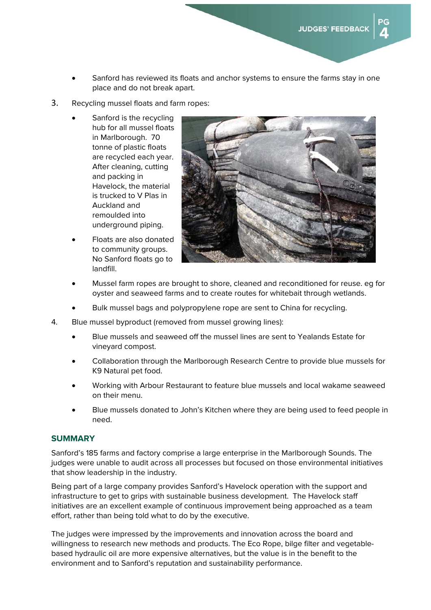- Sanford has reviewed its floats and anchor systems to ensure the farms stay in one place and do not break apart.
- 3. Recycling mussel floats and farm ropes:
	- Sanford is the recycling hub for all mussel floats in Marlborough. 70 tonne of plastic floats are recycled each year. After cleaning, cutting and packing in Havelock, the material is trucked to V Plas in Auckland and remoulded into underground piping.
	- Floats are also donated to community groups. No Sanford floats go to landfill.



- Mussel farm ropes are brought to shore, cleaned and reconditioned for reuse. eg for oyster and seaweed farms and to create routes for whitebait through wetlands.
- Bulk mussel bags and polypropylene rope are sent to China for recycling.
- 4. Blue mussel byproduct (removed from mussel growing lines):
	- Blue mussels and seaweed off the mussel lines are sent to Yealands Estate for vineyard compost.
	- Collaboration through the Marlborough Research Centre to provide blue mussels for K9 Natural pet food.
	- Working with Arbour Restaurant to feature blue mussels and local wakame seaweed on their menu.
	- Blue mussels donated to John's Kitchen where they are being used to feed people in need.

## **SUMMARY**

Sanford's 185 farms and factory comprise a large enterprise in the Marlborough Sounds. The judges were unable to audit across all processes but focused on those environmental initiatives that show leadership in the industry.

Being part of a large company provides Sanford's Havelock operation with the support and infrastructure to get to grips with sustainable business development. The Havelock staff initiatives are an excellent example of continuous improvement being approached as a team effort, rather than being told what to do by the executive.

The judges were impressed by the improvements and innovation across the board and willingness to research new methods and products. The Eco Rope, bilge filter and vegetablebased hydraulic oil are more expensive alternatives, but the value is in the benefit to the environment and to Sanford's reputation and sustainability performance.